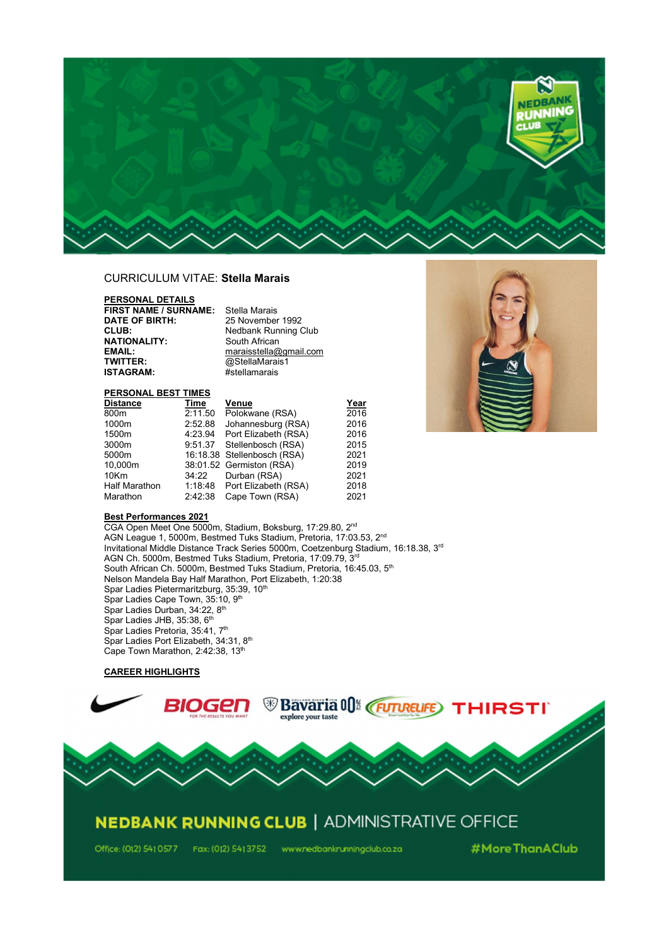

## CURRICULUM VITAE: Stella Marais

PERSONAL DETAILS **FIRST NAME / SURNAME:** Stella Marais<br>**DATE OF BIRTH:** 25 November **DATE OF BIRTH:** 25 November 1992<br> **CLUB:** Nedbank Running ( **NATIONALITY:**<br>EMAIL: **EMAIL:**<br>
EMAIL: maraisstella@gmail.com<br>
TWITTER: @StellaMarais1 **TWITTER:** @StellaMarais1<br>**ISTAGRAM:** #stellamarais

Nedbank Running Club<br>South African #stellamarais

## PERSONAL BEST TIMES

| Distance      | Time    | Venue                        | Year |
|---------------|---------|------------------------------|------|
| 800m          | 2:11.50 | Polokwane (RSA)              | 2016 |
| 1000m         | 2:52.88 | Johannesburg (RSA)           | 2016 |
| 1500m         |         | 4:23.94 Port Elizabeth (RSA) | 2016 |
| 3000m         |         | 9:51.37 Stellenbosch (RSA)   | 2015 |
| 5000m         |         | 16:18.38 Stellenbosch (RSA)  | 2021 |
| 10.000m       |         | 38:01.52 Germiston (RSA)     | 2019 |
| 10Km          | 34:22   | Durban (RSA)                 | 2021 |
| Half Marathon |         | 1:18:48 Port Elizabeth (RSA) | 2018 |
| Marathon      | 2:42:38 | Cape Town (RSA)              | 2021 |



## Best Performances 2021

CGA Open Meet One 5000m, Stadium, Boksburg, 17:29.80, 2nd AGN League 1, 5000m, Bestmed Tuks Stadium, Pretoria, 17:03.53, 2<sup>nd</sup> Invitational Middle Distance Track Series 5000m, Coetzenburg Stadium, 16:18.38, 3rd AGN Ch. 5000m, Bestmed Tuks Stadium, Pretoria, 17:09.79, 3rd South African Ch. 5000m, Bestmed Tuks Stadium, Pretoria, 16:45.03, 5<sup>th</sup> Nelson Mandela Bay Half Marathon, Port Elizabeth, 1:20:38 Spar Ladies Pietermaritzburg, 35:39, 10<sup>th</sup> Spar Ladies Cape Town, 35:10, 9<sup>th</sup> Spar Ladies Durban, 34:22, 8<sup>th</sup> Spar Ladies JHB, 35:38, 6<sup>th</sup> Spar Ladies Pretoria, 35:41, 7<sup>th</sup> Spar Ladies Port Elizabeth, 34:31, 8<sup>th</sup> Cape Town Marathon, 2:42:38, 13th

## CAREER HIGHLIGHTS